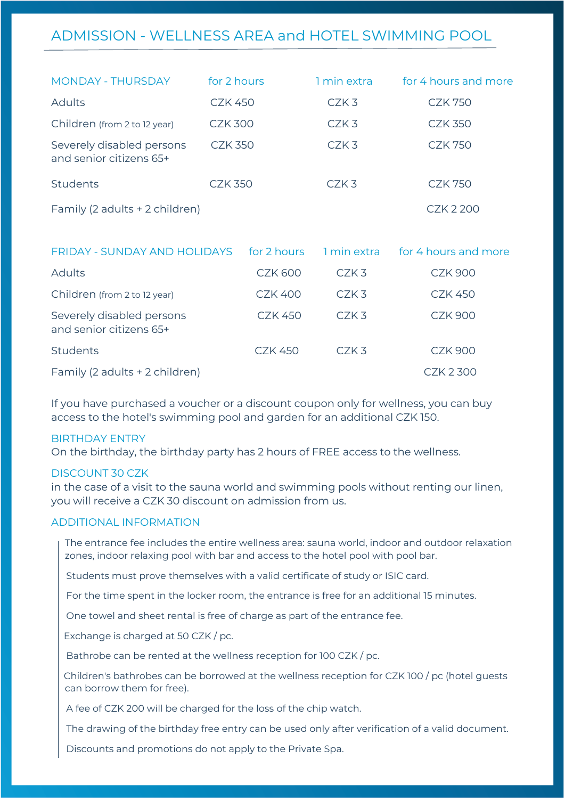## ADMISSION - WELLNESS AREA and HOTEL SWIMMING POOL

| <b>MONDAY - THURSDAY</b>                             | for 2 hours    | 1 min extra      | for 4 hours and more |
|------------------------------------------------------|----------------|------------------|----------------------|
| <b>Adults</b>                                        | <b>CZK 450</b> | CZK3             | <b>CZK 750</b>       |
| Children (from 2 to 12 year)                         | <b>CZK 300</b> | CZK <sub>3</sub> | <b>CZK 350</b>       |
| Severely disabled persons<br>and senior citizens 65+ | <b>CZK 350</b> | CZK <sub>3</sub> | <b>CZK 750</b>       |
| <b>Students</b>                                      | CZK 350        | CZK <sub>3</sub> | <b>CZK 750</b>       |
| Family (2 adults + 2 children)                       |                |                  | CZK 2 200            |

| FRIDAY - SUNDAY AND HOLIDAYS for 2 hours             |                      | 1 min extra | for 4 hours and more |
|------------------------------------------------------|----------------------|-------------|----------------------|
| <b>Adults</b>                                        | <b>CZK 600</b>       | CZK3        | <b>CZK 900</b>       |
| Children (from 2 to 12 year)                         | <b>CZK 400</b>       | $CZK$ 3     | <b>CZK 450</b>       |
| Severely disabled persons<br>and senior citizens 65+ | <b>CZK 450</b>       | $CZK$ 3     | <b>CZK 900</b>       |
| <b>Students</b>                                      | C <sub>7</sub> K 450 | $CZK$ 3     | <b>CZK 900</b>       |
| Family (2 adults + 2 children)                       |                      |             | CZK 2 300            |

If you have purchased a voucher or a discount coupon only for wellness, you can buy access to the hotel's swimming pool and garden for an additional CZK 150.

#### BIRTHDAY ENTRY

On the birthday, the birthday party has 2 hours of FREE access to the wellness.

#### DISCOUNT 30 CZK

in the case of a visit to the sauna world and swimming pools without renting our linen, you will receive a CZK 30 discount on admission from us.

#### ADDITIONAL INFORMATION

 The entrance fee includes the entire wellness area: sauna world, indoor and outdoor relaxation zones, indoor relaxing pool with bar and access to the hotel pool with pool bar.

Students must prove themselves with a valid certificate of study or ISIC card.

For the time spent in the locker room, the entrance is free for an additional 15 minutes.

One towel and sheet rental is free of charge as part of the entrance fee.

Exchange is charged at 50 CZK / pc.

Bathrobe can be rented at the wellness reception for 100 CZK / pc.

 Children's bathrobes can be borrowed at the wellness reception for CZK 100 / pc (hotel guests can borrow them for free).

A fee of CZK 200 will be charged for the loss of the chip watch.

The drawing of the birthday free entry can be used only after verification of a valid document.

Discounts and promotions do not apply to the Private Spa.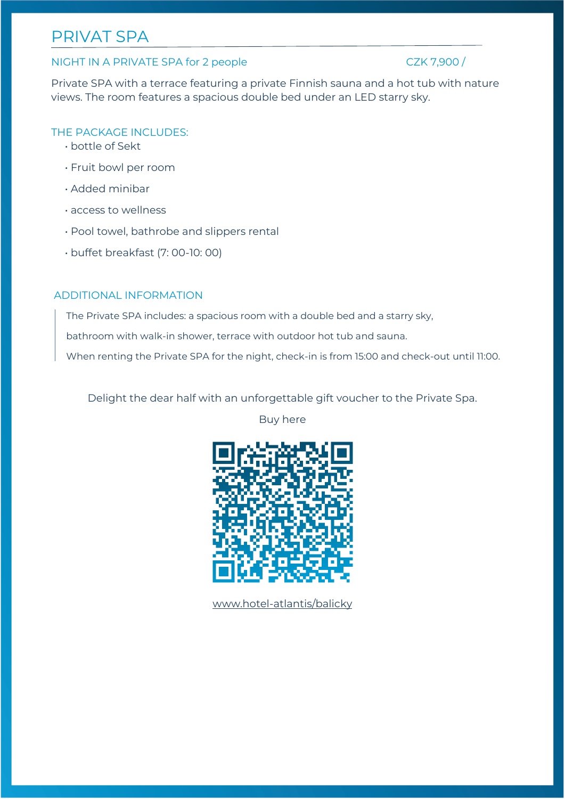# PRIVAT SPA

#### NIGHT IN A PRIVATE SPA for 2 people CZK 7,900 /

Private SPA with a terrace featuring a private Finnish sauna and a hot tub with nature views. The room features a spacious double bed under an LED starry sky.

### THE PACKAGE INCLUDES:

- bottle of Sekt
- Fruit bowl per room
- Added minibar
- access to wellness
- Pool towel, bathrobe and slippers rental
- buffet breakfast (7: 00-10: 00)

#### ADDITIONAL INFORMATION

The Private SPA includes: a spacious room with a double bed and a starry sky,

bathroom with walk-in shower, terrace with outdoor hot tub and sauna.

When renting the Private SPA for the night, check-in is from 15:00 and check-out until 11:00.

Delight the dear half with an unforgettable gift voucher to the Private Spa.

Buy here



[www.hotel-atlantis/balicky](http://www.hotel-atlantis/balicky)